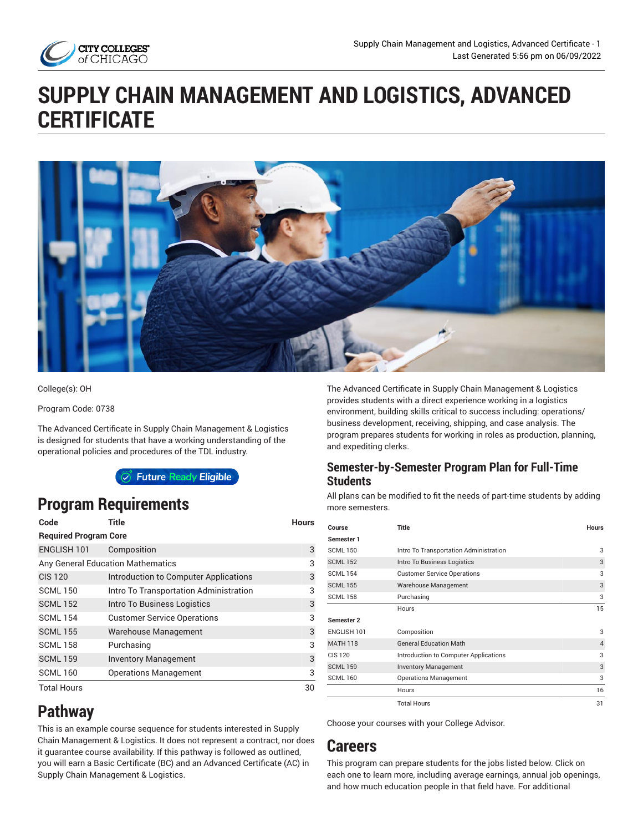

# **SUPPLY CHAIN MANAGEMENT AND LOGISTICS, ADVANCED CERTIFICATE**



College(s): OH

Program Code: 0738

The Advanced Certificate in Supply Chain Management & Logistics is designed for students that have a working understanding of the operational policies and procedures of the TDL industry.

Future Ready Eligible

## **Program Requirements**

| Code                              | Title                                  | <b>Hours</b> |
|-----------------------------------|----------------------------------------|--------------|
| <b>Required Program Core</b>      |                                        |              |
| ENGLISH 101                       | Composition                            | 3            |
| Any General Education Mathematics | 3                                      |              |
| <b>CIS 120</b>                    | Introduction to Computer Applications  | 3            |
| <b>SCML 150</b>                   | Intro To Transportation Administration | 3            |
| <b>SCML 152</b>                   | Intro To Business Logistics            | 3            |
| <b>SCML 154</b>                   | <b>Customer Service Operations</b>     | 3            |
| <b>SCML 155</b>                   | Warehouse Management                   | 3            |
| <b>SCML 158</b>                   | Purchasing                             | 3            |
| <b>SCML 159</b>                   | <b>Inventory Management</b>            | 3            |
| <b>SCML 160</b>                   | <b>Operations Management</b>           | 3            |
| <b>Total Hours</b>                |                                        | 30           |

**Pathway**

This is an example course sequence for students interested in Supply Chain Management & Logistics. It does not represent a contract, nor does it guarantee course availability. If this pathway is followed as outlined, you will earn a Basic Certificate (BC) and an Advanced Certificate (AC) in Supply Chain Management & Logistics.

The Advanced Certificate in Supply Chain Management & Logistics provides students with a direct experience working in a logistics environment, building skills critical to success including: operations/ business development, receiving, shipping, and case analysis. The program prepares students for working in roles as production, planning, and expediting clerks.

#### **Semester-by-Semester Program Plan for Full-Time Students**

All plans can be modified to fit the needs of part-time students by adding more semesters.

| Course          | Title                                  | <b>Hours</b>   |
|-----------------|----------------------------------------|----------------|
| Semester 1      |                                        |                |
| <b>SCML 150</b> | Intro To Transportation Administration | 3              |
| <b>SCML 152</b> | Intro To Business Logistics            | 3              |
| <b>SCML 154</b> | <b>Customer Service Operations</b>     | 3              |
| <b>SCML 155</b> | Warehouse Management                   | 3              |
| <b>SCML 158</b> | Purchasing                             | 3              |
|                 | Hours                                  | 15             |
| Semester 2      |                                        |                |
| ENGLISH 101     | Composition                            | 3              |
| <b>MATH 118</b> | <b>General Education Math</b>          | $\overline{4}$ |
| <b>CIS 120</b>  | Introduction to Computer Applications  | 3              |
| <b>SCML 159</b> | <b>Inventory Management</b>            | 3              |
| <b>SCML 160</b> | <b>Operations Management</b>           | 3              |
|                 | Hours                                  | 16             |
|                 | <b>Total Hours</b>                     | 31             |

Choose your courses with your College Advisor.

## **Careers**

This program can prepare students for the jobs listed below. Click on each one to learn more, including average earnings, annual job openings, and how much education people in that field have. For additional